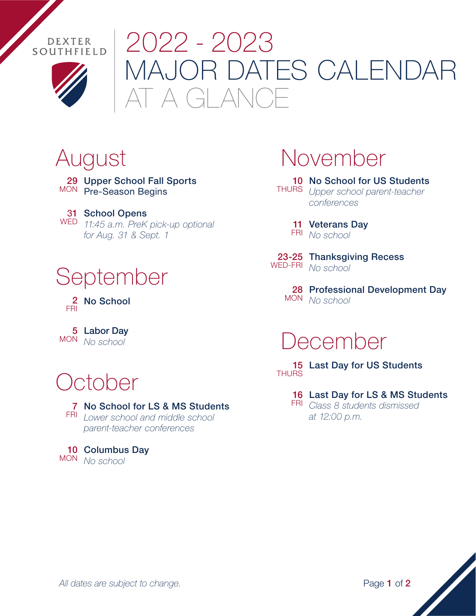



# MAJOR DATES CALENDAR GLANCE 2022 - 2023

29 Upper School Fall Sports MON Pre-Season Begins

31 School Opens *11:45 a.m. PreK pick-up optional* WED *for Aug. 31 & Sept. 1*

## September

2 No School FRI

Labor Day 5 *No school* MON

# October

#### 7 No School for LS & MS Students

*Lower school and middle school*  FRI *parent-teacher conferences*

#### 10 Columbus Day *No school* MON

## August November

10 No School for US Students *Upper school parent-teacher*  THURS *conferences*

11 Veterans Day *No school*  FRI

23-25 Thanksgiving Recess *No school* WED-FRI

> 28 Professional Development Day *No school* MON

#### December

15 Last Day for US Students THURS

16 Last Day for LS & MS Students

*Class 8 students dismissed*  FRI *at 12:00 p.m.*